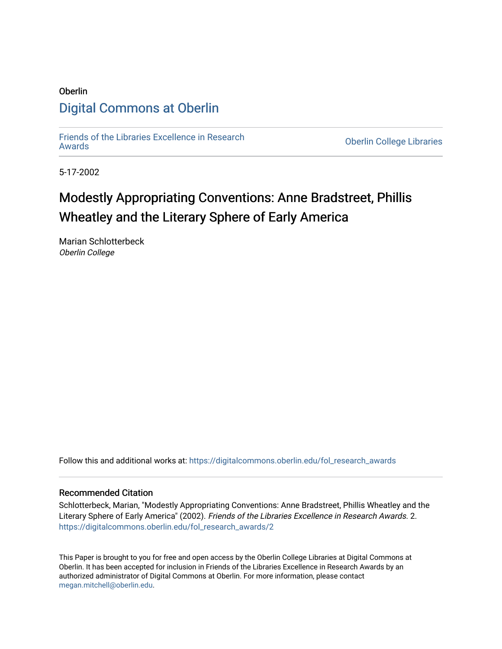# Oberlin [Digital Commons at Oberlin](https://digitalcommons.oberlin.edu/)

[Friends of the Libraries Excellence in Research](https://digitalcommons.oberlin.edu/fol_research_awards)

**Oberlin College Libraries** 

5-17-2002

# Modestly Appropriating Conventions: Anne Bradstreet, Phillis Wheatley and the Literary Sphere of Early America

Marian Schlotterbeck Oberlin College

Follow this and additional works at: [https://digitalcommons.oberlin.edu/fol\\_research\\_awards](https://digitalcommons.oberlin.edu/fol_research_awards?utm_source=digitalcommons.oberlin.edu%2Ffol_research_awards%2F2&utm_medium=PDF&utm_campaign=PDFCoverPages)

# Recommended Citation

Schlotterbeck, Marian, "Modestly Appropriating Conventions: Anne Bradstreet, Phillis Wheatley and the Literary Sphere of Early America" (2002). Friends of the Libraries Excellence in Research Awards. 2. [https://digitalcommons.oberlin.edu/fol\\_research\\_awards/2](https://digitalcommons.oberlin.edu/fol_research_awards/2?utm_source=digitalcommons.oberlin.edu%2Ffol_research_awards%2F2&utm_medium=PDF&utm_campaign=PDFCoverPages) 

This Paper is brought to you for free and open access by the Oberlin College Libraries at Digital Commons at Oberlin. It has been accepted for inclusion in Friends of the Libraries Excellence in Research Awards by an authorized administrator of Digital Commons at Oberlin. For more information, please contact [megan.mitchell@oberlin.edu](mailto:megan.mitchell@oberlin.edu).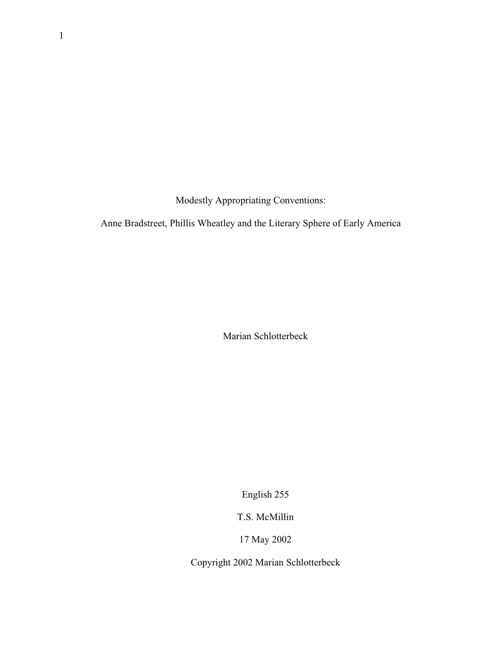Modestly Appropriating Conventions:

Anne Bradstreet, Phillis Wheatley and the Literary Sphere of Early America

Marian Schlotterbeck

English 255

T.S. McMillin

17 May 2002

Copyright 2002 Marian Schlotterbeck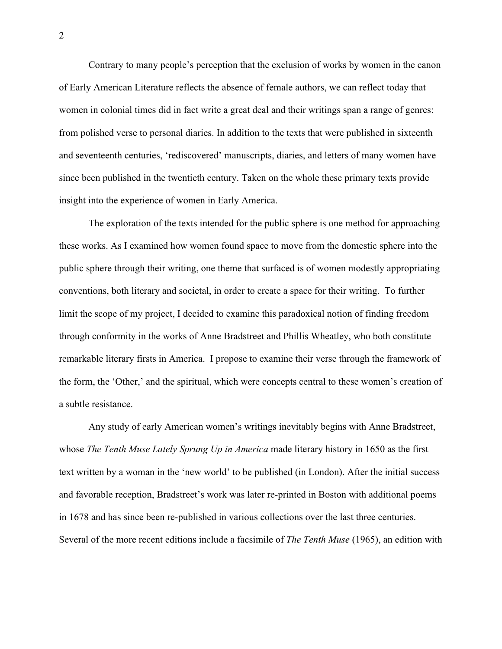Contrary to many people's perception that the exclusion of works by women in the canon of Early American Literature reflects the absence of female authors, we can reflect today that women in colonial times did in fact write a great deal and their writings span a range of genres: from polished verse to personal diaries. In addition to the texts that were published in sixteenth and seventeenth centuries, 'rediscovered' manuscripts, diaries, and letters of many women have since been published in the twentieth century. Taken on the whole these primary texts provide insight into the experience of women in Early America.

The exploration of the texts intended for the public sphere is one method for approaching these works. As I examined how women found space to move from the domestic sphere into the public sphere through their writing, one theme that surfaced is of women modestly appropriating conventions, both literary and societal, in order to create a space for their writing. To further limit the scope of my project, I decided to examine this paradoxical notion of finding freedom through conformity in the works of Anne Bradstreet and Phillis Wheatley, who both constitute remarkable literary firsts in America. I propose to examine their verse through the framework of the form, the 'Other,' and the spiritual, which were concepts central to these women's creation of a subtle resistance.

Any study of early American women's writings inevitably begins with Anne Bradstreet, whose *The Tenth Muse Lately Sprung Up in America* made literary history in 1650 as the first text written by a woman in the 'new world' to be published (in London). After the initial success and favorable reception, Bradstreet's work was later re-printed in Boston with additional poems in 1678 and has since been re-published in various collections over the last three centuries. Several of the more recent editions include a facsimile of *The Tenth Muse* (1965), an edition with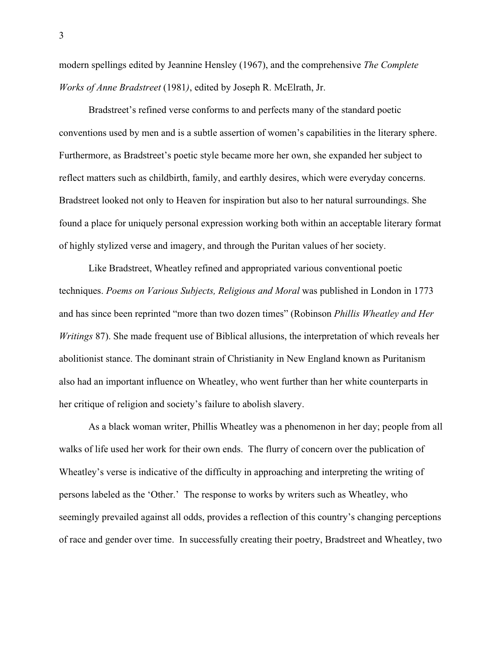modern spellings edited by Jeannine Hensley (1967), and the comprehensive *The Complete Works of Anne Bradstreet* (1981*)*, edited by Joseph R. McElrath, Jr.

Bradstreet's refined verse conforms to and perfects many of the standard poetic conventions used by men and is a subtle assertion of women's capabilities in the literary sphere. Furthermore, as Bradstreet's poetic style became more her own, she expanded her subject to reflect matters such as childbirth, family, and earthly desires, which were everyday concerns. Bradstreet looked not only to Heaven for inspiration but also to her natural surroundings. She found a place for uniquely personal expression working both within an acceptable literary format of highly stylized verse and imagery, and through the Puritan values of her society.

Like Bradstreet, Wheatley refined and appropriated various conventional poetic techniques. *Poems on Various Subjects, Religious and Moral* was published in London in 1773 and has since been reprinted "more than two dozen times" (Robinson *Phillis Wheatley and Her Writings* 87). She made frequent use of Biblical allusions, the interpretation of which reveals her abolitionist stance. The dominant strain of Christianity in New England known as Puritanism also had an important influence on Wheatley, who went further than her white counterparts in her critique of religion and society's failure to abolish slavery.

As a black woman writer, Phillis Wheatley was a phenomenon in her day; people from all walks of life used her work for their own ends. The flurry of concern over the publication of Wheatley's verse is indicative of the difficulty in approaching and interpreting the writing of persons labeled as the 'Other.' The response to works by writers such as Wheatley, who seemingly prevailed against all odds, provides a reflection of this country's changing perceptions of race and gender over time. In successfully creating their poetry, Bradstreet and Wheatley, two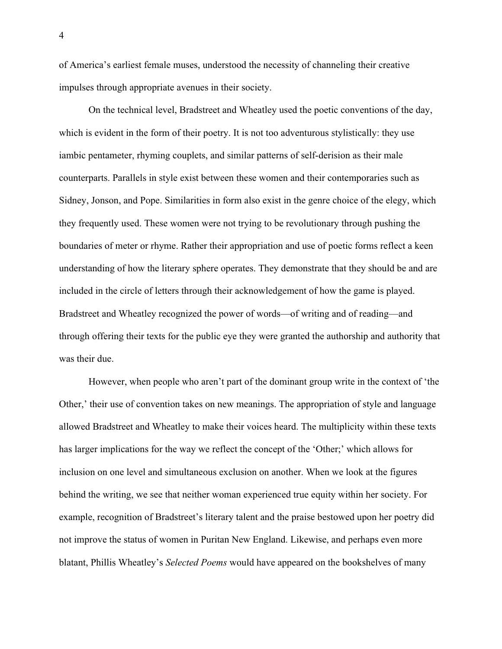of America's earliest female muses, understood the necessity of channeling their creative impulses through appropriate avenues in their society.

On the technical level, Bradstreet and Wheatley used the poetic conventions of the day, which is evident in the form of their poetry. It is not too adventurous stylistically: they use iambic pentameter, rhyming couplets, and similar patterns of self-derision as their male counterparts. Parallels in style exist between these women and their contemporaries such as Sidney, Jonson, and Pope. Similarities in form also exist in the genre choice of the elegy, which they frequently used. These women were not trying to be revolutionary through pushing the boundaries of meter or rhyme. Rather their appropriation and use of poetic forms reflect a keen understanding of how the literary sphere operates. They demonstrate that they should be and are included in the circle of letters through their acknowledgement of how the game is played. Bradstreet and Wheatley recognized the power of words—of writing and of reading—and through offering their texts for the public eye they were granted the authorship and authority that was their due.

However, when people who aren't part of the dominant group write in the context of 'the Other,' their use of convention takes on new meanings. The appropriation of style and language allowed Bradstreet and Wheatley to make their voices heard. The multiplicity within these texts has larger implications for the way we reflect the concept of the 'Other;' which allows for inclusion on one level and simultaneous exclusion on another. When we look at the figures behind the writing, we see that neither woman experienced true equity within her society. For example, recognition of Bradstreet's literary talent and the praise bestowed upon her poetry did not improve the status of women in Puritan New England. Likewise, and perhaps even more blatant, Phillis Wheatley's *Selected Poems* would have appeared on the bookshelves of many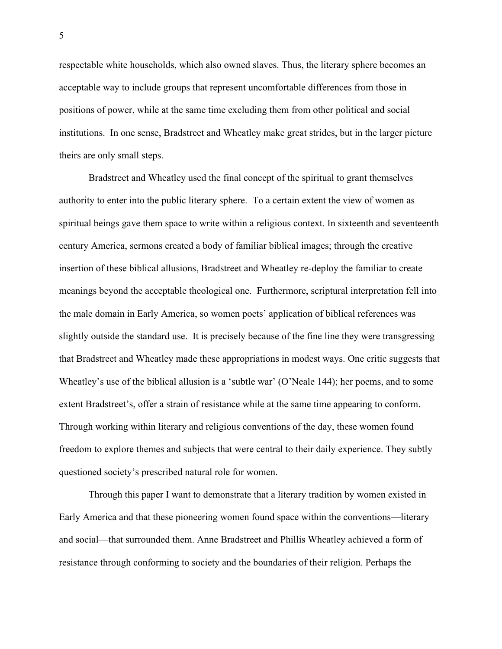respectable white households, which also owned slaves. Thus, the literary sphere becomes an acceptable way to include groups that represent uncomfortable differences from those in positions of power, while at the same time excluding them from other political and social institutions. In one sense, Bradstreet and Wheatley make great strides, but in the larger picture theirs are only small steps.

Bradstreet and Wheatley used the final concept of the spiritual to grant themselves authority to enter into the public literary sphere. To a certain extent the view of women as spiritual beings gave them space to write within a religious context. In sixteenth and seventeenth century America, sermons created a body of familiar biblical images; through the creative insertion of these biblical allusions, Bradstreet and Wheatley re-deploy the familiar to create meanings beyond the acceptable theological one. Furthermore, scriptural interpretation fell into the male domain in Early America, so women poets' application of biblical references was slightly outside the standard use. It is precisely because of the fine line they were transgressing that Bradstreet and Wheatley made these appropriations in modest ways. One critic suggests that Wheatley's use of the biblical allusion is a 'subtle war' (O'Neale 144); her poems, and to some extent Bradstreet's, offer a strain of resistance while at the same time appearing to conform. Through working within literary and religious conventions of the day, these women found freedom to explore themes and subjects that were central to their daily experience. They subtly questioned society's prescribed natural role for women.

Through this paper I want to demonstrate that a literary tradition by women existed in Early America and that these pioneering women found space within the conventions—literary and social—that surrounded them. Anne Bradstreet and Phillis Wheatley achieved a form of resistance through conforming to society and the boundaries of their religion. Perhaps the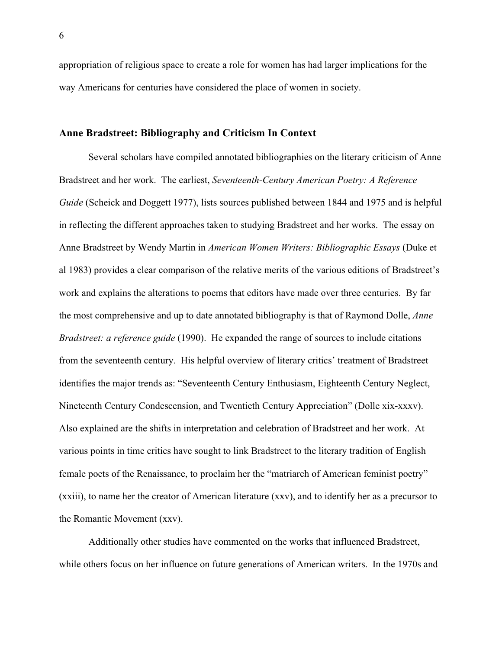appropriation of religious space to create a role for women has had larger implications for the way Americans for centuries have considered the place of women in society.

# **Anne Bradstreet: Bibliography and Criticism In Context**

Several scholars have compiled annotated bibliographies on the literary criticism of Anne Bradstreet and her work. The earliest, *Seventeenth-Century American Poetry: A Reference Guide* (Scheick and Doggett 1977), lists sources published between 1844 and 1975 and is helpful in reflecting the different approaches taken to studying Bradstreet and her works. The essay on Anne Bradstreet by Wendy Martin in *American Women Writers: Bibliographic Essays* (Duke et al 1983) provides a clear comparison of the relative merits of the various editions of Bradstreet's work and explains the alterations to poems that editors have made over three centuries. By far the most comprehensive and up to date annotated bibliography is that of Raymond Dolle, *Anne Bradstreet: a reference guide* (1990). He expanded the range of sources to include citations from the seventeenth century. His helpful overview of literary critics' treatment of Bradstreet identifies the major trends as: "Seventeenth Century Enthusiasm, Eighteenth Century Neglect, Nineteenth Century Condescension, and Twentieth Century Appreciation" (Dolle xix-xxxv). Also explained are the shifts in interpretation and celebration of Bradstreet and her work. At various points in time critics have sought to link Bradstreet to the literary tradition of English female poets of the Renaissance, to proclaim her the "matriarch of American feminist poetry" (xxiii), to name her the creator of American literature (xxv), and to identify her as a precursor to the Romantic Movement (xxv).

Additionally other studies have commented on the works that influenced Bradstreet, while others focus on her influence on future generations of American writers. In the 1970s and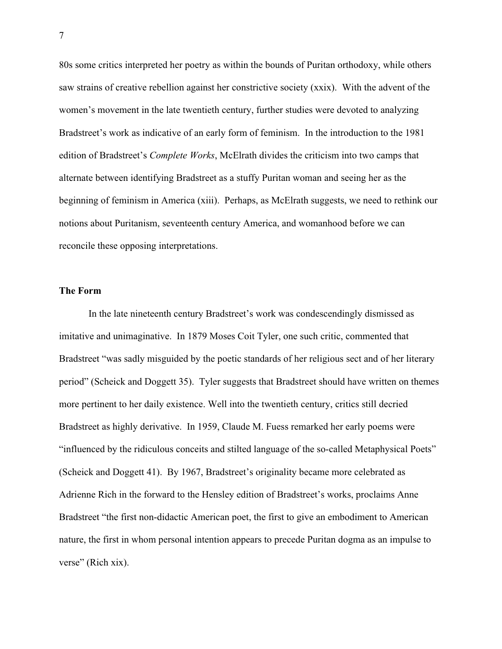80s some critics interpreted her poetry as within the bounds of Puritan orthodoxy, while others saw strains of creative rebellion against her constrictive society (xxix). With the advent of the women's movement in the late twentieth century, further studies were devoted to analyzing Bradstreet's work as indicative of an early form of feminism. In the introduction to the 1981 edition of Bradstreet's *Complete Works*, McElrath divides the criticism into two camps that alternate between identifying Bradstreet as a stuffy Puritan woman and seeing her as the beginning of feminism in America (xiii). Perhaps, as McElrath suggests, we need to rethink our notions about Puritanism, seventeenth century America, and womanhood before we can reconcile these opposing interpretations.

#### **The Form**

In the late nineteenth century Bradstreet's work was condescendingly dismissed as imitative and unimaginative. In 1879 Moses Coit Tyler, one such critic, commented that Bradstreet "was sadly misguided by the poetic standards of her religious sect and of her literary period" (Scheick and Doggett 35). Tyler suggests that Bradstreet should have written on themes more pertinent to her daily existence. Well into the twentieth century, critics still decried Bradstreet as highly derivative. In 1959, Claude M. Fuess remarked her early poems were "influenced by the ridiculous conceits and stilted language of the so-called Metaphysical Poets" (Scheick and Doggett 41). By 1967, Bradstreet's originality became more celebrated as Adrienne Rich in the forward to the Hensley edition of Bradstreet's works, proclaims Anne Bradstreet "the first non-didactic American poet, the first to give an embodiment to American nature, the first in whom personal intention appears to precede Puritan dogma as an impulse to verse" (Rich xix).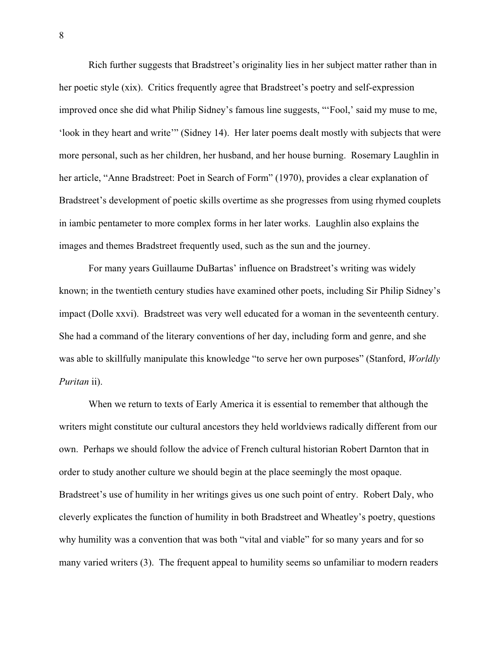Rich further suggests that Bradstreet's originality lies in her subject matter rather than in her poetic style (xix). Critics frequently agree that Bradstreet's poetry and self-expression improved once she did what Philip Sidney's famous line suggests, "'Fool,' said my muse to me, 'look in they heart and write'" (Sidney 14). Her later poems dealt mostly with subjects that were more personal, such as her children, her husband, and her house burning. Rosemary Laughlin in her article, "Anne Bradstreet: Poet in Search of Form" (1970), provides a clear explanation of Bradstreet's development of poetic skills overtime as she progresses from using rhymed couplets in iambic pentameter to more complex forms in her later works. Laughlin also explains the images and themes Bradstreet frequently used, such as the sun and the journey.

For many years Guillaume DuBartas' influence on Bradstreet's writing was widely known; in the twentieth century studies have examined other poets, including Sir Philip Sidney's impact (Dolle xxvi). Bradstreet was very well educated for a woman in the seventeenth century. She had a command of the literary conventions of her day, including form and genre, and she was able to skillfully manipulate this knowledge "to serve her own purposes" (Stanford, *Worldly Puritan* ii).

When we return to texts of Early America it is essential to remember that although the writers might constitute our cultural ancestors they held worldviews radically different from our own. Perhaps we should follow the advice of French cultural historian Robert Darnton that in order to study another culture we should begin at the place seemingly the most opaque. Bradstreet's use of humility in her writings gives us one such point of entry. Robert Daly, who cleverly explicates the function of humility in both Bradstreet and Wheatley's poetry, questions why humility was a convention that was both "vital and viable" for so many years and for so many varied writers (3). The frequent appeal to humility seems so unfamiliar to modern readers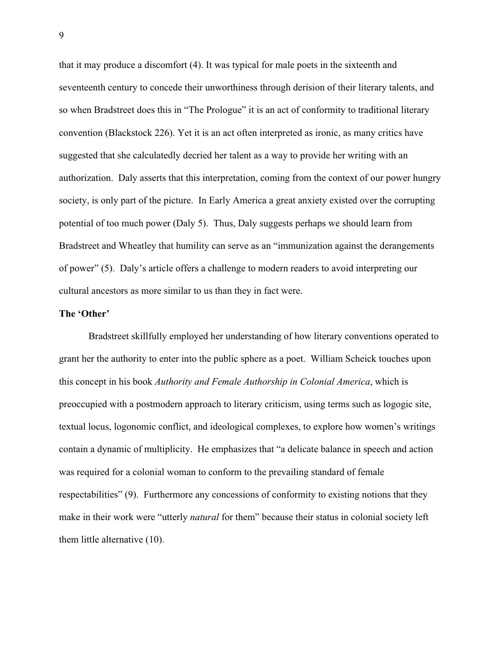that it may produce a discomfort (4). It was typical for male poets in the sixteenth and seventeenth century to concede their unworthiness through derision of their literary talents, and so when Bradstreet does this in "The Prologue" it is an act of conformity to traditional literary convention (Blackstock 226). Yet it is an act often interpreted as ironic, as many critics have suggested that she calculatedly decried her talent as a way to provide her writing with an authorization. Daly asserts that this interpretation, coming from the context of our power hungry society, is only part of the picture. In Early America a great anxiety existed over the corrupting potential of too much power (Daly 5). Thus, Daly suggests perhaps we should learn from Bradstreet and Wheatley that humility can serve as an "immunization against the derangements of power" (5). Daly's article offers a challenge to modern readers to avoid interpreting our cultural ancestors as more similar to us than they in fact were.

#### **The 'Other'**

Bradstreet skillfully employed her understanding of how literary conventions operated to grant her the authority to enter into the public sphere as a poet. William Scheick touches upon this concept in his book *Authority and Female Authorship in Colonial America*, which is preoccupied with a postmodern approach to literary criticism, using terms such as logogic site, textual locus, logonomic conflict, and ideological complexes, to explore how women's writings contain a dynamic of multiplicity. He emphasizes that "a delicate balance in speech and action was required for a colonial woman to conform to the prevailing standard of female respectabilities" (9). Furthermore any concessions of conformity to existing notions that they make in their work were "utterly *natural* for them" because their status in colonial society left them little alternative (10).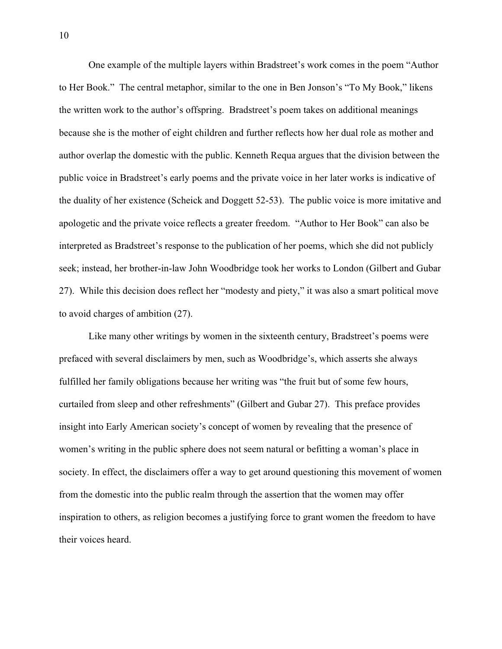One example of the multiple layers within Bradstreet's work comes in the poem "Author to Her Book." The central metaphor, similar to the one in Ben Jonson's "To My Book," likens the written work to the author's offspring. Bradstreet's poem takes on additional meanings because she is the mother of eight children and further reflects how her dual role as mother and author overlap the domestic with the public. Kenneth Requa argues that the division between the public voice in Bradstreet's early poems and the private voice in her later works is indicative of the duality of her existence (Scheick and Doggett 52-53). The public voice is more imitative and apologetic and the private voice reflects a greater freedom. "Author to Her Book" can also be interpreted as Bradstreet's response to the publication of her poems, which she did not publicly seek; instead, her brother-in-law John Woodbridge took her works to London (Gilbert and Gubar 27). While this decision does reflect her "modesty and piety," it was also a smart political move to avoid charges of ambition (27).

Like many other writings by women in the sixteenth century, Bradstreet's poems were prefaced with several disclaimers by men, such as Woodbridge's, which asserts she always fulfilled her family obligations because her writing was "the fruit but of some few hours, curtailed from sleep and other refreshments" (Gilbert and Gubar 27). This preface provides insight into Early American society's concept of women by revealing that the presence of women's writing in the public sphere does not seem natural or befitting a woman's place in society. In effect, the disclaimers offer a way to get around questioning this movement of women from the domestic into the public realm through the assertion that the women may offer inspiration to others, as religion becomes a justifying force to grant women the freedom to have their voices heard.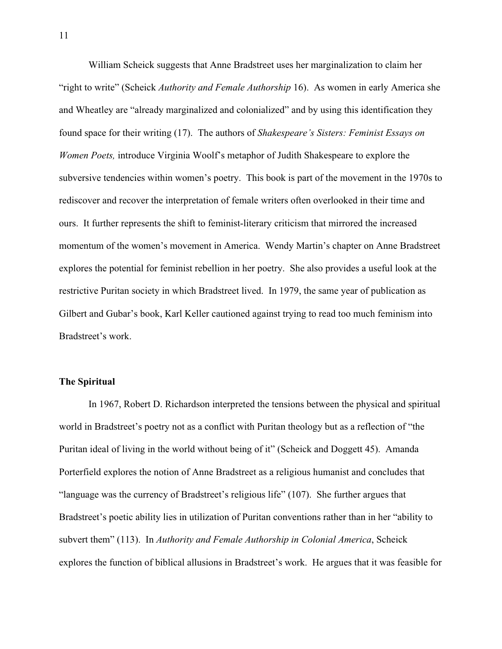William Scheick suggests that Anne Bradstreet uses her marginalization to claim her "right to write" (Scheick *Authority and Female Authorship* 16). As women in early America she and Wheatley are "already marginalized and colonialized" and by using this identification they found space for their writing (17). The authors of *Shakespeare's Sisters: Feminist Essays on Women Poets,* introduce Virginia Woolf's metaphor of Judith Shakespeare to explore the subversive tendencies within women's poetry. This book is part of the movement in the 1970s to rediscover and recover the interpretation of female writers often overlooked in their time and ours. It further represents the shift to feminist-literary criticism that mirrored the increased momentum of the women's movement in America. Wendy Martin's chapter on Anne Bradstreet explores the potential for feminist rebellion in her poetry. She also provides a useful look at the restrictive Puritan society in which Bradstreet lived. In 1979, the same year of publication as Gilbert and Gubar's book, Karl Keller cautioned against trying to read too much feminism into Bradstreet's work.

# **The Spiritual**

In 1967, Robert D. Richardson interpreted the tensions between the physical and spiritual world in Bradstreet's poetry not as a conflict with Puritan theology but as a reflection of "the Puritan ideal of living in the world without being of it" (Scheick and Doggett 45). Amanda Porterfield explores the notion of Anne Bradstreet as a religious humanist and concludes that "language was the currency of Bradstreet's religious life" (107). She further argues that Bradstreet's poetic ability lies in utilization of Puritan conventions rather than in her "ability to subvert them" (113). In *Authority and Female Authorship in Colonial America*, Scheick explores the function of biblical allusions in Bradstreet's work. He argues that it was feasible for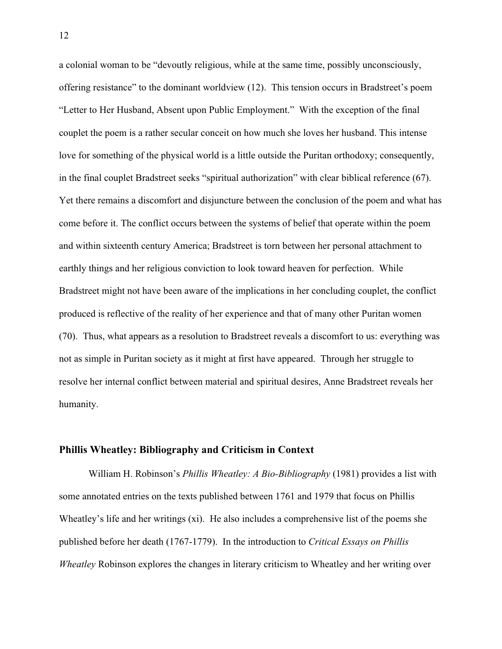a colonial woman to be "devoutly religious, while at the same time, possibly unconsciously, offering resistance" to the dominant worldview (12). This tension occurs in Bradstreet's poem "Letter to Her Husband, Absent upon Public Employment." With the exception of the final couplet the poem is a rather secular conceit on how much she loves her husband. This intense love for something of the physical world is a little outside the Puritan orthodoxy; consequently, in the final couplet Bradstreet seeks "spiritual authorization" with clear biblical reference (67). Yet there remains a discomfort and disjuncture between the conclusion of the poem and what has come before it. The conflict occurs between the systems of belief that operate within the poem and within sixteenth century America; Bradstreet is torn between her personal attachment to earthly things and her religious conviction to look toward heaven for perfection. While Bradstreet might not have been aware of the implications in her concluding couplet, the conflict produced is reflective of the reality of her experience and that of many other Puritan women (70). Thus, what appears as a resolution to Bradstreet reveals a discomfort to us: everything was not as simple in Puritan society as it might at first have appeared. Through her struggle to resolve her internal conflict between material and spiritual desires, Anne Bradstreet reveals her humanity.

# **Phillis Wheatley: Bibliography and Criticism in Context**

William H. Robinson's *Phillis Wheatley: A Bio-Bibliography* (1981) provides a list with some annotated entries on the texts published between 1761 and 1979 that focus on Phillis Wheatley's life and her writings (xi). He also includes a comprehensive list of the poems she published before her death (1767-1779). In the introduction to *Critical Essays on Phillis Wheatley* Robinson explores the changes in literary criticism to Wheatley and her writing over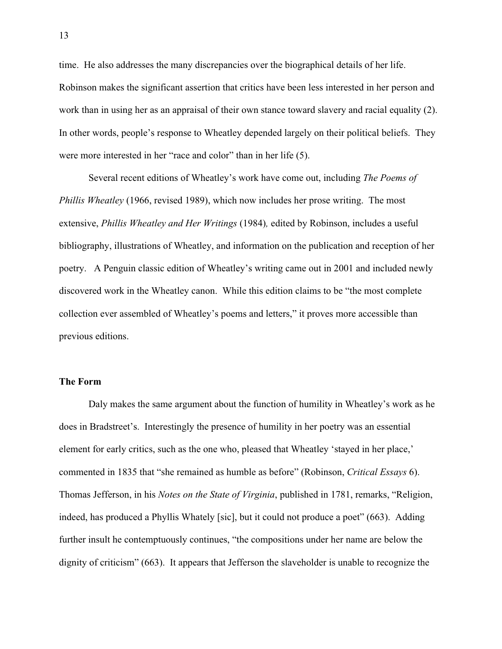time. He also addresses the many discrepancies over the biographical details of her life. Robinson makes the significant assertion that critics have been less interested in her person and work than in using her as an appraisal of their own stance toward slavery and racial equality (2). In other words, people's response to Wheatley depended largely on their political beliefs. They were more interested in her "race and color" than in her life (5).

Several recent editions of Wheatley's work have come out, including *The Poems of Phillis Wheatley* (1966, revised 1989), which now includes her prose writing. The most extensive, *Phillis Wheatley and Her Writings* (1984)*,* edited by Robinson, includes a useful bibliography, illustrations of Wheatley, and information on the publication and reception of her poetry. A Penguin classic edition of Wheatley's writing came out in 2001 and included newly discovered work in the Wheatley canon. While this edition claims to be "the most complete collection ever assembled of Wheatley's poems and letters," it proves more accessible than previous editions.

#### **The Form**

Daly makes the same argument about the function of humility in Wheatley's work as he does in Bradstreet's. Interestingly the presence of humility in her poetry was an essential element for early critics, such as the one who, pleased that Wheatley 'stayed in her place,' commented in 1835 that "she remained as humble as before" (Robinson, *Critical Essays* 6). Thomas Jefferson, in his *Notes on the State of Virginia*, published in 1781, remarks, "Religion, indeed, has produced a Phyllis Whately [sic], but it could not produce a poet" (663). Adding further insult he contemptuously continues, "the compositions under her name are below the dignity of criticism" (663). It appears that Jefferson the slaveholder is unable to recognize the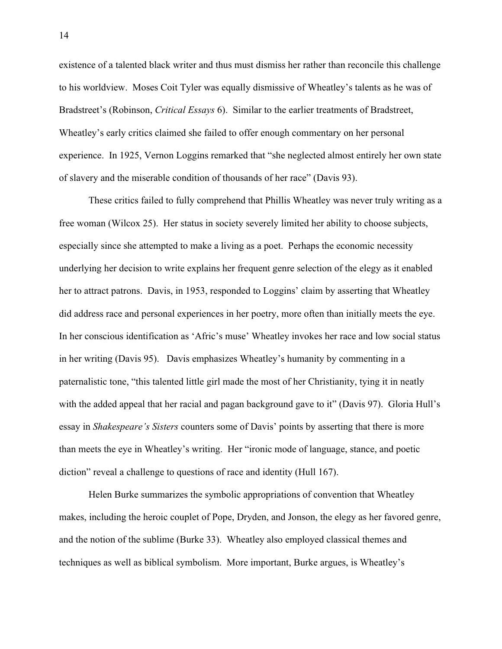existence of a talented black writer and thus must dismiss her rather than reconcile this challenge to his worldview. Moses Coit Tyler was equally dismissive of Wheatley's talents as he was of Bradstreet's (Robinson, *Critical Essays* 6). Similar to the earlier treatments of Bradstreet, Wheatley's early critics claimed she failed to offer enough commentary on her personal experience. In 1925, Vernon Loggins remarked that "she neglected almost entirely her own state of slavery and the miserable condition of thousands of her race" (Davis 93).

These critics failed to fully comprehend that Phillis Wheatley was never truly writing as a free woman (Wilcox 25). Her status in society severely limited her ability to choose subjects, especially since she attempted to make a living as a poet. Perhaps the economic necessity underlying her decision to write explains her frequent genre selection of the elegy as it enabled her to attract patrons. Davis, in 1953, responded to Loggins' claim by asserting that Wheatley did address race and personal experiences in her poetry, more often than initially meets the eye. In her conscious identification as 'Afric's muse' Wheatley invokes her race and low social status in her writing (Davis 95). Davis emphasizes Wheatley's humanity by commenting in a paternalistic tone, "this talented little girl made the most of her Christianity, tying it in neatly with the added appeal that her racial and pagan background gave to it" (Davis 97). Gloria Hull's essay in *Shakespeare's Sisters* counters some of Davis' points by asserting that there is more than meets the eye in Wheatley's writing. Her "ironic mode of language, stance, and poetic diction" reveal a challenge to questions of race and identity (Hull 167).

Helen Burke summarizes the symbolic appropriations of convention that Wheatley makes, including the heroic couplet of Pope, Dryden, and Jonson, the elegy as her favored genre, and the notion of the sublime (Burke 33). Wheatley also employed classical themes and techniques as well as biblical symbolism. More important, Burke argues, is Wheatley's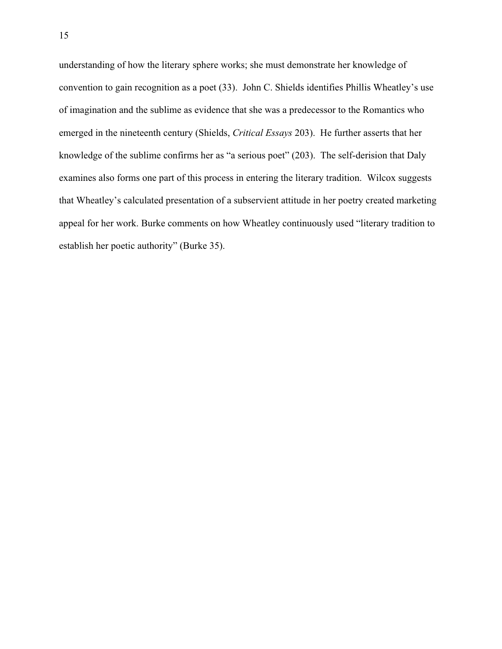understanding of how the literary sphere works; she must demonstrate her knowledge of convention to gain recognition as a poet (33). John C. Shields identifies Phillis Wheatley's use of imagination and the sublime as evidence that she was a predecessor to the Romantics who emerged in the nineteenth century (Shields, *Critical Essays* 203). He further asserts that her knowledge of the sublime confirms her as "a serious poet" (203). The self-derision that Daly examines also forms one part of this process in entering the literary tradition. Wilcox suggests that Wheatley's calculated presentation of a subservient attitude in her poetry created marketing appeal for her work. Burke comments on how Wheatley continuously used "literary tradition to establish her poetic authority" (Burke 35).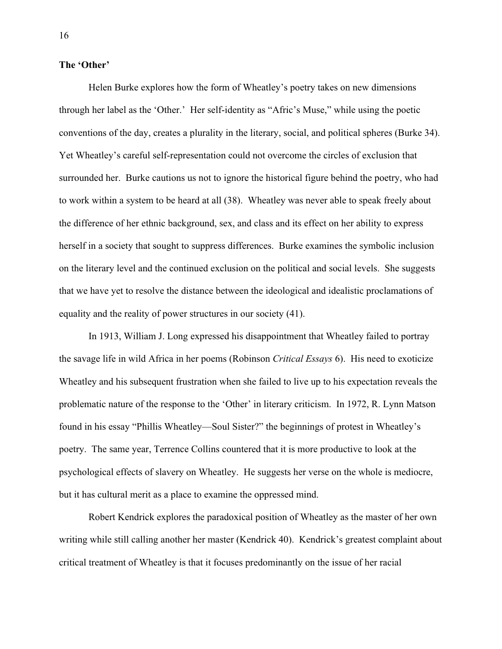#### **The 'Other'**

Helen Burke explores how the form of Wheatley's poetry takes on new dimensions through her label as the 'Other.' Her self-identity as "Afric's Muse," while using the poetic conventions of the day, creates a plurality in the literary, social, and political spheres (Burke 34). Yet Wheatley's careful self-representation could not overcome the circles of exclusion that surrounded her. Burke cautions us not to ignore the historical figure behind the poetry, who had to work within a system to be heard at all (38). Wheatley was never able to speak freely about the difference of her ethnic background, sex, and class and its effect on her ability to express herself in a society that sought to suppress differences. Burke examines the symbolic inclusion on the literary level and the continued exclusion on the political and social levels. She suggests that we have yet to resolve the distance between the ideological and idealistic proclamations of equality and the reality of power structures in our society (41).

In 1913, William J. Long expressed his disappointment that Wheatley failed to portray the savage life in wild Africa in her poems (Robinson *Critical Essays* 6). His need to exoticize Wheatley and his subsequent frustration when she failed to live up to his expectation reveals the problematic nature of the response to the 'Other' in literary criticism. In 1972, R. Lynn Matson found in his essay "Phillis Wheatley—Soul Sister?" the beginnings of protest in Wheatley's poetry. The same year, Terrence Collins countered that it is more productive to look at the psychological effects of slavery on Wheatley. He suggests her verse on the whole is mediocre, but it has cultural merit as a place to examine the oppressed mind.

Robert Kendrick explores the paradoxical position of Wheatley as the master of her own writing while still calling another her master (Kendrick 40). Kendrick's greatest complaint about critical treatment of Wheatley is that it focuses predominantly on the issue of her racial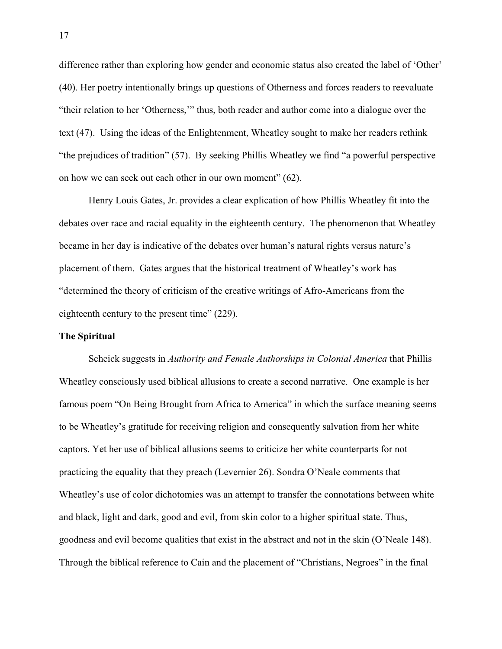difference rather than exploring how gender and economic status also created the label of 'Other' (40). Her poetry intentionally brings up questions of Otherness and forces readers to reevaluate "their relation to her 'Otherness,'" thus, both reader and author come into a dialogue over the text (47). Using the ideas of the Enlightenment, Wheatley sought to make her readers rethink "the prejudices of tradition" (57). By seeking Phillis Wheatley we find "a powerful perspective on how we can seek out each other in our own moment" (62).

Henry Louis Gates, Jr. provides a clear explication of how Phillis Wheatley fit into the debates over race and racial equality in the eighteenth century. The phenomenon that Wheatley became in her day is indicative of the debates over human's natural rights versus nature's placement of them. Gates argues that the historical treatment of Wheatley's work has "determined the theory of criticism of the creative writings of Afro-Americans from the eighteenth century to the present time" (229).

## **The Spiritual**

Scheick suggests in *Authority and Female Authorships in Colonial America* that Phillis Wheatley consciously used biblical allusions to create a second narrative. One example is her famous poem "On Being Brought from Africa to America" in which the surface meaning seems to be Wheatley's gratitude for receiving religion and consequently salvation from her white captors. Yet her use of biblical allusions seems to criticize her white counterparts for not practicing the equality that they preach (Levernier 26). Sondra O'Neale comments that Wheatley's use of color dichotomies was an attempt to transfer the connotations between white and black, light and dark, good and evil, from skin color to a higher spiritual state. Thus, goodness and evil become qualities that exist in the abstract and not in the skin (O'Neale 148). Through the biblical reference to Cain and the placement of "Christians, Negroes" in the final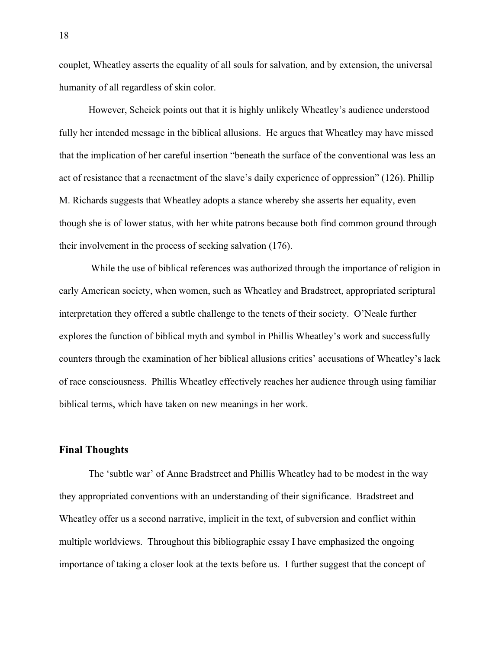couplet, Wheatley asserts the equality of all souls for salvation, and by extension, the universal humanity of all regardless of skin color.

However, Scheick points out that it is highly unlikely Wheatley's audience understood fully her intended message in the biblical allusions. He argues that Wheatley may have missed that the implication of her careful insertion "beneath the surface of the conventional was less an act of resistance that a reenactment of the slave's daily experience of oppression" (126). Phillip M. Richards suggests that Wheatley adopts a stance whereby she asserts her equality, even though she is of lower status, with her white patrons because both find common ground through their involvement in the process of seeking salvation (176).

 While the use of biblical references was authorized through the importance of religion in early American society, when women, such as Wheatley and Bradstreet, appropriated scriptural interpretation they offered a subtle challenge to the tenets of their society. O'Neale further explores the function of biblical myth and symbol in Phillis Wheatley's work and successfully counters through the examination of her biblical allusions critics' accusations of Wheatley's lack of race consciousness. Phillis Wheatley effectively reaches her audience through using familiar biblical terms, which have taken on new meanings in her work.

# **Final Thoughts**

The 'subtle war' of Anne Bradstreet and Phillis Wheatley had to be modest in the way they appropriated conventions with an understanding of their significance. Bradstreet and Wheatley offer us a second narrative, implicit in the text, of subversion and conflict within multiple worldviews. Throughout this bibliographic essay I have emphasized the ongoing importance of taking a closer look at the texts before us. I further suggest that the concept of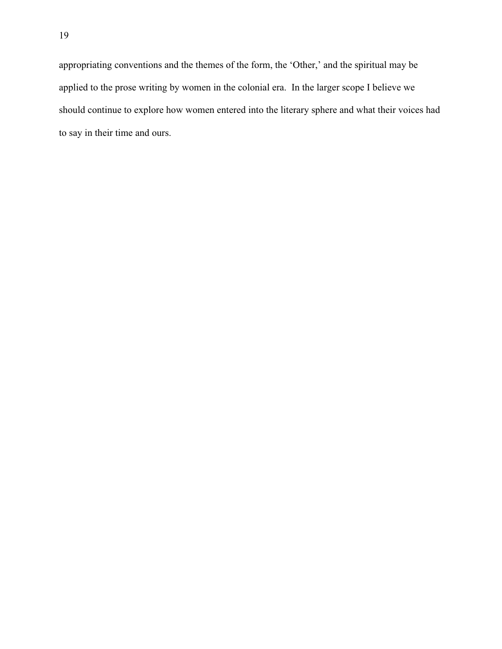appropriating conventions and the themes of the form, the 'Other,' and the spiritual may be applied to the prose writing by women in the colonial era. In the larger scope I believe we should continue to explore how women entered into the literary sphere and what their voices had to say in their time and ours.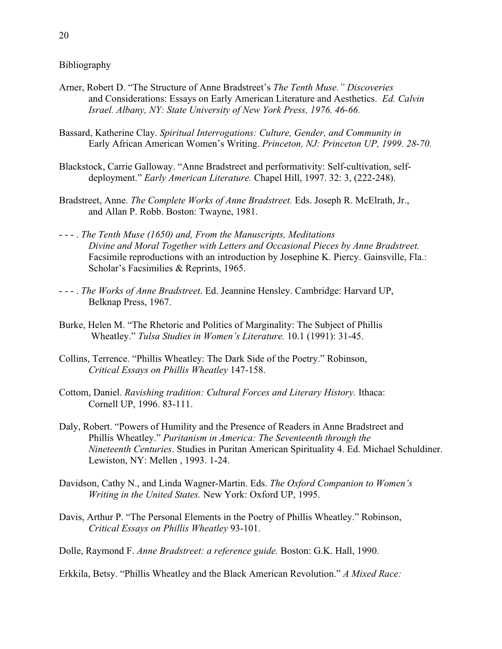Bibliography

- Arner, Robert D. "The Structure of Anne Bradstreet's *The Tenth Muse." Discoveries* and Considerations: Essays on Early American Literature and Aesthetics. *Ed. Calvin Israel. Albany, NY: State University of New York Press, 1976. 46-66.*
- Bassard, Katherine Clay. *Spiritual Interrogations: Culture, Gender, and Community in* Early African American Women's Writing. *Princeton, NJ: Princeton UP, 1999. 28-70.*
- Blackstock, Carrie Galloway. "Anne Bradstreet and performativity: Self-cultivation, selfdeployment." *Early American Literature.* Chapel Hill, 1997. 32: 3, (222-248).
- Bradstreet, Anne. *The Complete Works of Anne Bradstreet.* Eds. Joseph R. McElrath, Jr., and Allan P. Robb. Boston: Twayne, 1981.
- - . *The Tenth Muse (1650) and, From the Manuscripts, Meditations Divine and Moral Together with Letters and Occasional Pieces by Anne Bradstreet.* Facsimile reproductions with an introduction by Josephine K. Piercy. Gainsville, Fla.: Scholar's Facsimilies & Reprints, 1965.
- - . *The Works of Anne Bradstreet*. Ed. Jeannine Hensley. Cambridge: Harvard UP, Belknap Press, 1967.
- Burke, Helen M. "The Rhetoric and Politics of Marginality: The Subject of Phillis Wheatley." *Tulsa Studies in Women's Literature.* 10.1 (1991): 31-45.
- Collins, Terrence. "Phillis Wheatley: The Dark Side of the Poetry." Robinson, *Critical Essays on Phillis Wheatley* 147-158.
- Cottom, Daniel. *Ravishing tradition: Cultural Forces and Literary History.* Ithaca: Cornell UP, 1996. 83-111.
- Daly, Robert. "Powers of Humility and the Presence of Readers in Anne Bradstreet and Phillis Wheatley." *Puritanism in America: The Seventeenth through the Nineteenth Centuries*. Studies in Puritan American Spirituality 4. Ed. Michael Schuldiner. Lewiston, NY: Mellen , 1993. 1-24.
- Davidson, Cathy N., and Linda Wagner-Martin. Eds. *The Oxford Companion to Women's Writing in the United States.* New York: Oxford UP, 1995.
- Davis, Arthur P. "The Personal Elements in the Poetry of Phillis Wheatley." Robinson, *Critical Essays on Phillis Wheatley* 93-101.
- Dolle, Raymond F. *Anne Bradstreet: a reference guide.* Boston: G.K. Hall, 1990.
- Erkkila, Betsy. "Phillis Wheatley and the Black American Revolution." *A Mixed Race:*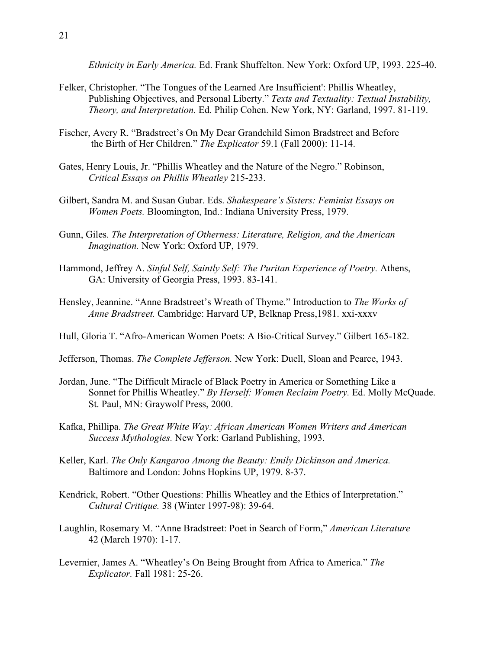*Ethnicity in Early America.* Ed. Frank Shuffelton. New York: Oxford UP, 1993. 225-40.

- Felker, Christopher. "The Tongues of the Learned Are Insufficient': Phillis Wheatley, Publishing Objectives, and Personal Liberty." *Texts and Textuality: Textual Instability, Theory, and Interpretation.* Ed. Philip Cohen. New York, NY: Garland, 1997. 81-119.
- Fischer, Avery R. "Bradstreet's On My Dear Grandchild Simon Bradstreet and Before the Birth of Her Children." *The Explicator* 59.1 (Fall 2000): 11-14.
- Gates, Henry Louis, Jr. "Phillis Wheatley and the Nature of the Negro." Robinson, *Critical Essays on Phillis Wheatley* 215-233.
- Gilbert, Sandra M. and Susan Gubar. Eds. *Shakespeare's Sisters: Feminist Essays on Women Poets.* Bloomington, Ind.: Indiana University Press, 1979.
- Gunn, Giles. *The Interpretation of Otherness: Literature, Religion, and the American Imagination.* New York: Oxford UP, 1979.
- Hammond, Jeffrey A. *Sinful Self, Saintly Self: The Puritan Experience of Poetry.* Athens, GA: University of Georgia Press, 1993. 83-141.
- Hensley, Jeannine. "Anne Bradstreet's Wreath of Thyme." Introduction to *The Works of Anne Bradstreet.* Cambridge: Harvard UP, Belknap Press,1981. xxi-xxxv
- Hull, Gloria T. "Afro-American Women Poets: A Bio-Critical Survey." Gilbert 165-182.
- Jefferson, Thomas. *The Complete Jefferson.* New York: Duell, Sloan and Pearce, 1943.
- Jordan, June. "The Difficult Miracle of Black Poetry in America or Something Like a Sonnet for Phillis Wheatley." *By Herself: Women Reclaim Poetry.* Ed. Molly McQuade. St. Paul, MN: Graywolf Press, 2000.
- Kafka, Phillipa. *The Great White Way: African American Women Writers and American Success Mythologies.* New York: Garland Publishing, 1993.
- Keller, Karl. *The Only Kangaroo Among the Beauty: Emily Dickinson and America.* Baltimore and London: Johns Hopkins UP, 1979. 8-37.
- Kendrick, Robert. "Other Questions: Phillis Wheatley and the Ethics of Interpretation." *Cultural Critique.* 38 (Winter 1997-98): 39-64.
- Laughlin, Rosemary M. "Anne Bradstreet: Poet in Search of Form," *American Literature* 42 (March 1970): 1-17.
- Levernier, James A. "Wheatley's On Being Brought from Africa to America." *The Explicator.* Fall 1981: 25-26.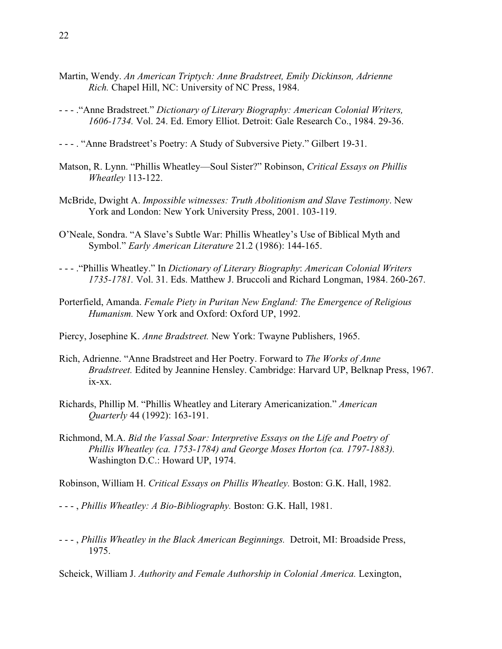- Martin, Wendy. *An American Triptych: Anne Bradstreet, Emily Dickinson, Adrienne Rich.* Chapel Hill, NC: University of NC Press, 1984.
- - ."Anne Bradstreet." *Dictionary of Literary Biography: American Colonial Writers, 1606-1734.* Vol. 24. Ed. Emory Elliot. Detroit: Gale Research Co., 1984. 29-36.
- - . "Anne Bradstreet's Poetry: A Study of Subversive Piety." Gilbert 19-31.
- Matson, R. Lynn. "Phillis Wheatley—Soul Sister?" Robinson, *Critical Essays on Phillis Wheatley* 113-122.
- McBride, Dwight A. *Impossible witnesses: Truth Abolitionism and Slave Testimony*. New York and London: New York University Press, 2001. 103-119.
- O'Neale, Sondra. "A Slave's Subtle War: Phillis Wheatley's Use of Biblical Myth and Symbol." *Early American Literature* 21.2 (1986): 144-165.
- - ."Phillis Wheatley." In *Dictionary of Literary Biography*: *American Colonial Writers 1735-1781.* Vol. 31. Eds. Matthew J. Bruccoli and Richard Longman, 1984. 260-267.
- Porterfield, Amanda. *Female Piety in Puritan New England: The Emergence of Religious Humanism.* New York and Oxford: Oxford UP, 1992.
- Piercy, Josephine K. *Anne Bradstreet.* New York: Twayne Publishers, 1965.
- Rich, Adrienne. "Anne Bradstreet and Her Poetry. Forward to *The Works of Anne Bradstreet.* Edited by Jeannine Hensley. Cambridge: Harvard UP, Belknap Press, 1967. ix-xx.
- Richards, Phillip M. "Phillis Wheatley and Literary Americanization." *American Quarterly* 44 (1992): 163-191.
- Richmond, M.A. *Bid the Vassal Soar: Interpretive Essays on the Life and Poetry of Phillis Wheatley (ca. 1753-1784) and George Moses Horton (ca. 1797-1883).* Washington D.C.: Howard UP, 1974.

Robinson, William H. *Critical Essays on Phillis Wheatley.* Boston: G.K. Hall, 1982.

- - , *Phillis Wheatley: A Bio-Bibliography.* Boston: G.K. Hall, 1981.
- - , *Phillis Wheatley in the Black American Beginnings.* Detroit, MI: Broadside Press, 1975.

Scheick, William J. *Authority and Female Authorship in Colonial America*. Lexington,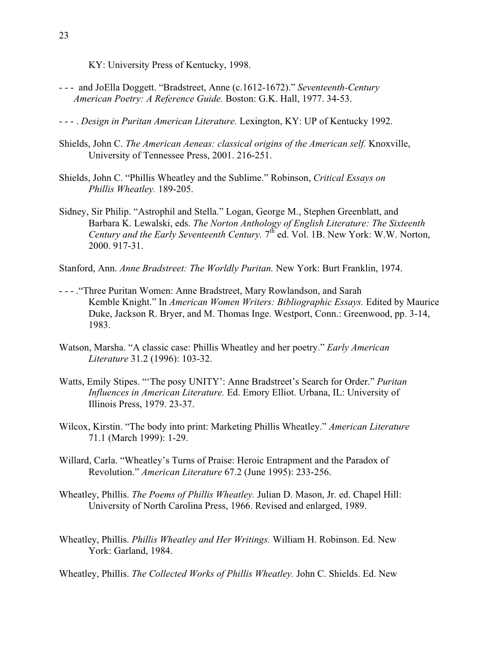KY: University Press of Kentucky, 1998.

- - and JoElla Doggett. "Bradstreet, Anne (c.1612-1672)." *Seventeenth-Century American Poetry: A Reference Guide.* Boston: G.K. Hall, 1977. 34-53.
- - . *Design in Puritan American Literature.* Lexington, KY: UP of Kentucky 1992.
- Shields, John C. *The American Aeneas: classical origins of the American self.* Knoxville, University of Tennessee Press, 2001. 216-251.
- Shields, John C. "Phillis Wheatley and the Sublime." Robinson, *Critical Essays on Phillis Wheatley.* 189-205.
- Sidney, Sir Philip. "Astrophil and Stella." Logan, George M., Stephen Greenblatt, and Barbara K. Lewalski, eds. *The Norton Anthology of English Literature: The Sixteenth Century and the Early Seventeenth Century.*  $7<sup>th</sup>$  ed. Vol. 1B. New York: W.W. Norton, 2000. 917-31.

Stanford, Ann. *Anne Bradstreet: The Worldly Puritan.* New York: Burt Franklin, 1974.

- - ."Three Puritan Women: Anne Bradstreet, Mary Rowlandson, and Sarah Kemble Knight." In *American Women Writers: Bibliographic Essays.* Edited by Maurice Duke, Jackson R. Bryer, and M. Thomas Inge. Westport, Conn.: Greenwood, pp. 3-14, 1983.
- Watson, Marsha. "A classic case: Phillis Wheatley and her poetry." *Early American Literature* 31.2 (1996): 103-32.
- Watts, Emily Stipes. "'The posy UNITY': Anne Bradstreet's Search for Order." *Puritan Influences in American Literature.* Ed. Emory Elliot. Urbana, IL: University of Illinois Press, 1979. 23-37.
- Wilcox, Kirstin. "The body into print: Marketing Phillis Wheatley." *American Literature* 71.1 (March 1999): 1-29.
- Willard, Carla. "Wheatley's Turns of Praise: Heroic Entrapment and the Paradox of Revolution." *American Literature* 67.2 (June 1995): 233-256.
- Wheatley, Phillis. *The Poems of Phillis Wheatley.* Julian D. Mason, Jr. ed. Chapel Hill: University of North Carolina Press, 1966. Revised and enlarged, 1989.
- Wheatley, Phillis. *Phillis Wheatley and Her Writings.* William H. Robinson. Ed. New York: Garland, 1984.
- Wheatley, Phillis. *The Collected Works of Phillis Wheatley.* John C. Shields. Ed. New